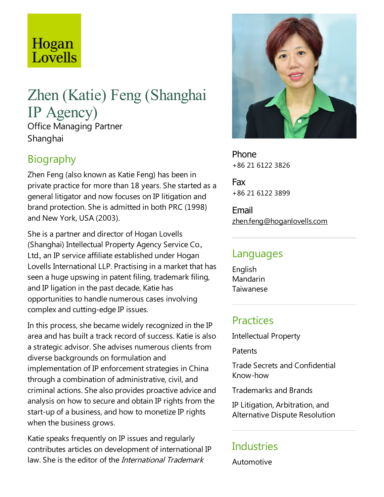# Hogan Lovells

# Zhen (Katie) Feng (Shanghai IP Agency) Office Managing Partner Shanghai

### **Biography**

Zhen Feng (also known as Katie Feng) has been in private practice for more than 18 years. She started as a general litigator and now focuses on IP litigation and brand protection. She is admitted in both PRC (1998) and New York, USA (2003).

She is a partner and director of Hogan Lovells (Shanghai) Intellectual Property Agency Service Co., Ltd., an IP service affiliate established under Hogan Lovells International LLP. Practising in a market that has seen a huge upswing in patent filing, trademark filing, and IP ligation in the past decade, Katie has opportunities to handle numerous cases involving complex and cutting-edge IP issues.

In this process, she became widely recognized in the IP area and has built a track record of success. Katie is also a strategic advisor. She advises numerous clients from diverse backgrounds on formulation and implementation of IP enforcement strategies in China through a combination of administrative, civil, and criminal actions. She also provides proactive advice and analysis on how to secure and obtain IP rights from the start-up of a business, and how to monetize IP rights when the business grows.

Katie speaks frequently on IP issues and regularly contributes articles on development of international IP law. She is the editor of the International Trademark



Phone +86 21 6122 3826

Fax +86 21 6122 3899

Email zhen.feng@hoganlovells.com

#### Languages

English Mandarin Taiwanese

# **Practices**

Intellectual Property

**Patents** 

Trade Secrets and Confidential Know-how

Trademarks and Brands

IP Litigation, Arbitration, and Alternative Dispute Resolution

#### **Industries**

Automotive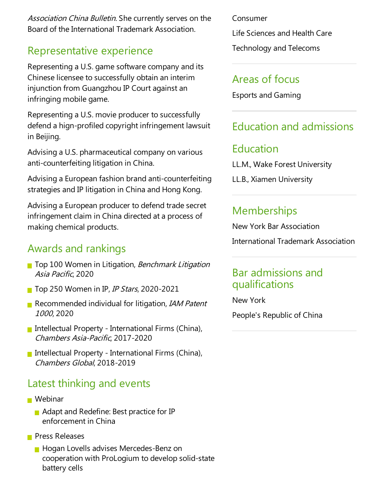Association China Bulletin. She currently serves on the Board of the International Trademark Association.

#### Representative experience

Representing a U.S. game software company and its Chinese licensee to successfully obtain an interim injunction from Guangzhou IP Court against an infringing mobile game.

Representing a U.S. movie producer to successfully defend a hign-profiled copyright infringement lawsuit in Beijing.

Advising a U.S. pharmaceutical company on various anti-counterfeiting litigation in China.

Advising a European fashion brand anti-counterfeiting strategies and IP litigation in China and Hong Kong.

Advising a European producer to defend trade secret infringement claim in China directed at a process of making chemical products.

# Awards and rankings

- Top 100 Women in Litigation, Benchmark Litigation Asia Pacific, 2020
- **T** Top 250 Women in IP, *IP Stars*, 2020-2021
- Recommended individual for litigation, IAM Patent <sup>1000</sup>, 2020
- Intellectual Property International Firms (China), Chambers Asia-Pacific, 2017-2020
- Intellectual Property International Firms (China), Chambers Global, 2018-2019

# Latest thinking and events

- Webinar
	- $\blacksquare$  Adapt and Redefine: Best practice for IP enforcement in China
- **Press Releases** 
	- **Hogan Lovells advises Mercedes-Benz on** cooperation with ProLogium to develop solid-state battery cells

Consumer

Life Sciences and Health Care

Technology and Telecoms

#### Areas of focus

Esports and Gaming

# Education and admissions

#### Education

LL.M., Wake Forest University

LL.B., Xiamen University

# **Memberships**

New York Bar Association International Trademark Association

#### Bar admissions and qualifications

New York

People's Republic of China